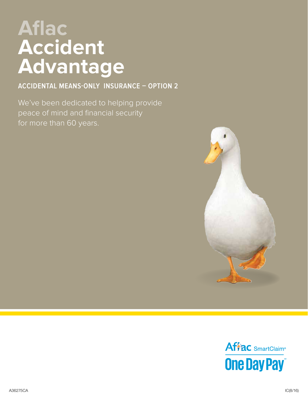# **Aflac Accident Advantage**

**ACCIDENTAL MEANS-ONLY INSURANCE – OPTION 2** 

We've been dedicated to helping provide peace of mind and financial security for more than 60 years.



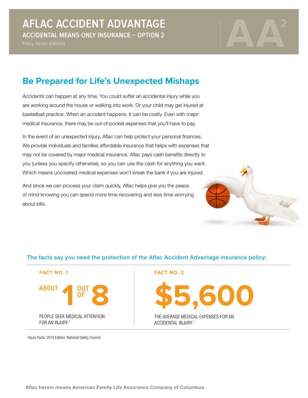Policy Series A36000



# **Be Prepared for Life's Unexpected Mishaps**

Accidents can happen at any time. You could suffer an accidental injury while you are working around the house or walking into work. Or your child may get injured at basketball practice. When an accident happens, it can be costly. Even with major medical insurance, there may be out-of-pocket expenses that you'll have to pay.

In the event of an unexpected injury, Aflac can help protect your personal finances. We provide individuals and families affordable insurance that helps with expenses that may not be covered by major medical insurance. Aflac pays cash benefits directly to you (unless you specify otherwise), so you can use the cash for anything you want. Which means uncovered medical expenses won't break the bank if you are injured.

And since we can process your claim quickly, Aflac helps give you the peace of mind knowing you can spend more time recovering and less time worrying about bills.

#### The facts say you need the protection of the Aflac Accident Advantage insurance policy:



**FACT NO. 2**

**\$5,600**

THE AVERAGE MEDICAL EXPENSES FOR AN ACCIDENTAL INJURY<sup>1</sup>

1Injury Facts, 2015 Edition, National Safety Council.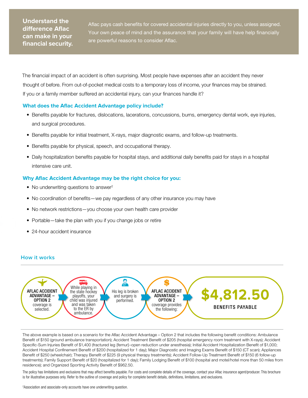# **Understand the difference Aflac can make in your financial security.**

Aflac pays cash benefits for covered accidental injuries directly to you, unless assigned. Your own peace of mind and the assurance that your family will have help financially are powerful reasons to consider Aflac.

The financial impact of an accident is often surprising. Most people have expenses after an accident they never thought of before. From out-of-pocket medical costs to a temporary loss of income, your finances may be strained. If you or a family member suffered an accidental injury, can your finances handle it?

#### **What does the Aflac Accident Advantage policy include?**

- Benefits payable for fractures, dislocations, lacerations, concussions, burns, emergency dental work, eye injuries, and surgical procedures.
- Benefits payable for initial treatment, X-rays, major diagnostic exams, and follow-up treatments.
- Benefits payable for physical, speech, and occupational therapy.
- Daily hospitalization benefits payable for hospital stays, and additional daily benefits paid for stays in a hospital intensive care unit.

#### **Why Aflac Accident Advantage may be the right choice for you:**

- No underwriting questions to answer<sup>2</sup>
- No coordination of benefits—we pay regardless of any other insurance you may have
- No network restrictions—you choose your own health care provider
- Portable—take the plan with you if you change jobs or retire
- 24-hour accident insurance

#### **How it works**



The above example is based on a scenario for the Aflac Accident Advantage – Option 2 that includes the following benefit conditions: Ambulance Benefit of \$150 (ground ambulance transportation); Accident Treatment Benefit of \$205 (hospital emergency room treatment with X-rays); Accident Specific-Sum Injuries Benefit of \$1,400 (fractured leg {femur}–open reduction under anesthesia); Initial Accident Hospitalization Benefit of \$1,000; Accident Hospital Confinement Benefit of \$200 (hospitalized for 1 day); Major Diagnostic and Imaging Exams Benefit of \$150 (CT scan); Appliances Benefit of \$250 (wheelchair); Therapy Benefit of \$225 (9 physical therapy treatments); Accident Follow-Up Treatment Benefit of \$150 (6 follow-up treatments); Family Support Benefit of \$20 (hospitalized for 1 day); Family Lodging Benefit of \$100 (hospital and motel/hotel more than 50 miles from residence); and Organized Sporting Activity Benefit of \$962.50.

The policy has limitations and exclusions that may affect benefits payable. For costs and complete details of the coverage, contact your Aflac insurance agent/producer. This brochure is for illustrative purposes only. Refer to the outline of coverage and policy for complete benefit details, definitions, limitations, and exclusions.

2 Association and associate-only accounts have one underwriting question.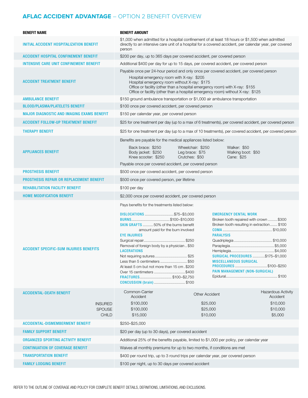# **AFLAC ACCIDENT ADVANTAGE** – OPTION 2 BENEFIT OVERVIEW

| <b>BENEFIT NAME</b>                                                               | <b>BENEFIT AMOUNT</b>                                                                                                                                                                                                                                                                                                                                                                                                                                                                                                                                                                                                                                                                                                                                                                                               |  |  |
|-----------------------------------------------------------------------------------|---------------------------------------------------------------------------------------------------------------------------------------------------------------------------------------------------------------------------------------------------------------------------------------------------------------------------------------------------------------------------------------------------------------------------------------------------------------------------------------------------------------------------------------------------------------------------------------------------------------------------------------------------------------------------------------------------------------------------------------------------------------------------------------------------------------------|--|--|
| INITIAL ACCIDENT HOSPITALIZATION BENEFIT                                          | \$1,000 when admitted for a hospital confinement of at least 18 hours or \$1,500 when admitted<br>directly to an intensive care unit of a hospital for a covered accident, per calendar year, per covered<br>person                                                                                                                                                                                                                                                                                                                                                                                                                                                                                                                                                                                                 |  |  |
| <b>ACCIDENT HOSPITAL CONFINEMENT BENEFIT</b>                                      | \$200 per day, up to 365 days per covered accident, per covered person                                                                                                                                                                                                                                                                                                                                                                                                                                                                                                                                                                                                                                                                                                                                              |  |  |
| <b>INTENSIVE CARE UNIT CONFINEMENT BENEFIT</b>                                    | Additional \$400 per day for up to 15 days, per covered accident, per covered person                                                                                                                                                                                                                                                                                                                                                                                                                                                                                                                                                                                                                                                                                                                                |  |  |
| <b>ACCIDENT TREATMENT BENEFIT</b>                                                 | Payable once per 24-hour period and only once per covered accident, per covered person<br>Hospital emergency room with X-ray: \$205<br>Hospital emergency room without X-ray: \$175<br>Office or facility (other than a hospital emergency room) with X-ray: \$155<br>Office or facility (other than a hospital emergency room) without X-ray: \$125                                                                                                                                                                                                                                                                                                                                                                                                                                                                |  |  |
| <b>AMBULANCE BENEFIT</b>                                                          | \$150 ground ambulance transportation or \$1,000 air ambulance transportation                                                                                                                                                                                                                                                                                                                                                                                                                                                                                                                                                                                                                                                                                                                                       |  |  |
| <b>BLOOD/PLASMA/PLATELETS BENEFIT</b>                                             | \$100 once per covered accident, per covered person                                                                                                                                                                                                                                                                                                                                                                                                                                                                                                                                                                                                                                                                                                                                                                 |  |  |
| <b>MAJOR DIAGNOSTIC AND IMAGING EXAMS BENEFIT</b>                                 | \$150 per calendar year, per covered person                                                                                                                                                                                                                                                                                                                                                                                                                                                                                                                                                                                                                                                                                                                                                                         |  |  |
| <b>ACCIDENT FOLLOW-UP TREATMENT BENEFIT</b>                                       | \$25 for one treatment per day (up to a max of 6 treatments), per covered accident, per covered person                                                                                                                                                                                                                                                                                                                                                                                                                                                                                                                                                                                                                                                                                                              |  |  |
| <b>THERAPY BENEFIT</b>                                                            | \$25 for one treatment per day (up to a max of 10 treatments), per covered accident, per covered person                                                                                                                                                                                                                                                                                                                                                                                                                                                                                                                                                                                                                                                                                                             |  |  |
|                                                                                   | Benefits are payable for the medical appliances listed below:                                                                                                                                                                                                                                                                                                                                                                                                                                                                                                                                                                                                                                                                                                                                                       |  |  |
| <b>APPLIANCES BENEFIT</b>                                                         | Back brace: \$250<br>Wheelchair: \$250<br>Walker: \$50<br>Body jacket: \$250<br>Leg brace: \$75<br>Walking boot: \$50<br>Crutches: \$50<br>Cane: \$25<br>Knee scooter: \$250<br>Payable once per covered accident, per covered person                                                                                                                                                                                                                                                                                                                                                                                                                                                                                                                                                                               |  |  |
| <b>PROSTHESIS BENEFIT</b>                                                         | \$500 once per covered accident, per covered person                                                                                                                                                                                                                                                                                                                                                                                                                                                                                                                                                                                                                                                                                                                                                                 |  |  |
| <b>PROSTHESIS REPAIR OR REPLACEMENT BENEFIT</b>                                   | \$500 once per covered person, per lifetime                                                                                                                                                                                                                                                                                                                                                                                                                                                                                                                                                                                                                                                                                                                                                                         |  |  |
| <b>REHABILITATION FACILITY BENEFIT</b>                                            | \$100 per day                                                                                                                                                                                                                                                                                                                                                                                                                                                                                                                                                                                                                                                                                                                                                                                                       |  |  |
| <b>HOME MODIFICATION BENEFIT</b>                                                  | \$2,000 once per covered accident, per covered person                                                                                                                                                                                                                                                                                                                                                                                                                                                                                                                                                                                                                                                                                                                                                               |  |  |
| <b>ACCIDENT SPECIFIC-SUM INJURIES BENEFITS</b><br><b>ACCIDENTAL-DEATH BENEFIT</b> | Pays benefits for the treatments listed below:<br>DISLOCATIONS \$75-\$3,000<br><b>EMERGENCY DENTAL WORK</b><br>Broken tooth repaired with crown  \$300<br><b>SKIN GRAFTS  50% of the burns benefit</b><br>Broken tooth resulting in extraction \$100<br>amount paid for the burn involved<br><b>PARALYSIS</b><br><b>EYE INJURIES</b><br>Removal of foreign body by a physician\$50<br><b>LACERATIONS</b><br>SURGICAL PROCEDURES  \$175-\$1,000<br>Not requiring sutures\$25<br><b>MISCELLANEOUS SURGICAL</b><br>Less than 5 centimeters \$50<br>PROCEDURES \$100-\$250<br>At least 5 cm but not more than 15 cm, \$200<br>PAIN MANAGEMENT (NON-SURGICAL)<br>Over 15 centimeters \$400<br>FRACTURES\$100-\$2,750<br>CONCUSSION (brain) \$100<br>Common-Carrier<br><b>Hazardous Activity</b><br><b>Other Accident</b> |  |  |
| <b>INSURED</b><br><b>SPOUSE</b><br><b>CHILD</b>                                   | Accident<br>Accident<br>\$100,000<br>\$25,000<br>\$10,000<br>\$100,000<br>\$25,000<br>\$10,000<br>\$15,000<br>\$5,000<br>\$10,000                                                                                                                                                                                                                                                                                                                                                                                                                                                                                                                                                                                                                                                                                   |  |  |
| <b>ACCIDENTAL-DISMEMBERMENT BENEFIT</b>                                           | \$250-\$25,000                                                                                                                                                                                                                                                                                                                                                                                                                                                                                                                                                                                                                                                                                                                                                                                                      |  |  |
| <b>FAMILY SUPPORT BENEFIT</b>                                                     | \$20 per day (up to 30 days), per covered accident                                                                                                                                                                                                                                                                                                                                                                                                                                                                                                                                                                                                                                                                                                                                                                  |  |  |
| ORGANIZED SPORTING ACTIVITY BENEFIT                                               | Additional 25% of the benefits payable, limited to \$1,000 per policy, per calendar year                                                                                                                                                                                                                                                                                                                                                                                                                                                                                                                                                                                                                                                                                                                            |  |  |
| <b>CONTINUATION OF COVERAGE BENEFIT</b>                                           | Waives all monthly premiums for up to two months, if conditions are met                                                                                                                                                                                                                                                                                                                                                                                                                                                                                                                                                                                                                                                                                                                                             |  |  |
| <b>TRANSPORTATION BENEFIT</b>                                                     | \$400 per round trip, up to 3 round trips per calendar year, per covered person                                                                                                                                                                                                                                                                                                                                                                                                                                                                                                                                                                                                                                                                                                                                     |  |  |
| <b>FAMILY LODGING BENEFIT</b>                                                     | \$100 per night, up to 30 days per covered accident                                                                                                                                                                                                                                                                                                                                                                                                                                                                                                                                                                                                                                                                                                                                                                 |  |  |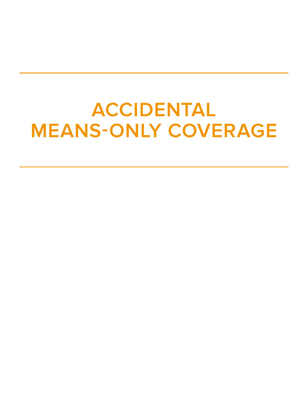# **ACCIDENTAL MEANS-ONLY COVERAGE**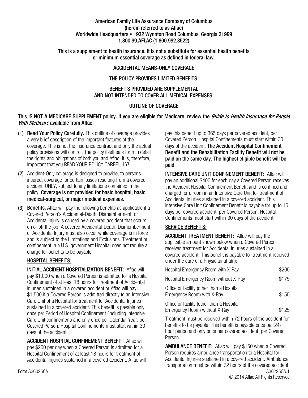#### American Family Life Assurance Company of Columbus (herein referred to as Aflac) Worldwide Headquarters • 1932 Wynnton Road Columbus, Georgia 31999 1.800.99.AFLAC (1.800.992.3522)

This is a supplement to health insurance. It is not a substitute for essential health benefits or minimum essential coverage as defined in federal law.

#### ACCIDENTAL MEANS-ONLY COVERAGE

#### THE POLICY PROVIDES LIMITED BENEFITS.

#### BENEFITS PROVIDED ARE SUPPLEMENTAL AND NOT INTENDED TO COVER ALL MEDICAL EXPENSES.

#### OUTLINE OF COVERAGE

#### This IS NOT A MEDICARE SUPPLEMENT policy. If you are eligible for Medicare, review the Guide to Health Insurance for People With Medicare available from Aflac.

- (1) Read Your Policy Carefully. This outline of coverage provides a very brief description of the important features of the coverage. This is not the insurance contract and only the actual policy provisions will control. The policy itself sets forth in detail the rights and obligations of both you and Aflac. It is, therefore, important that you READ YOUR POLICY CAREFULLY!
- (2) Accident-Only coverage is designed to provide, to persons insured, coverage for certain losses resulting from a covered accident ONLY, subject to any limitations contained in the policy. Coverage is not provided for basic hospital, basic medical-surgical, or major medical expenses.
- (3) Benefits. Aflac will pay the following benefits as applicable if a Covered Person's Accidental-Death, Dismemberment, or Accidental Injury is caused by a covered accident that occurs on or off the job. A covered Accidental-Death, Dismemberment, or Accidental Injury must also occur while coverage is in force and is subject to the Limitations and Exclusions. Treatment or confinement in a U.S. government Hospital does not require a charge for benefits to be payable.

#### HOSPITAL BENEFITS:

INITIAL ACCIDENT HOSPITALIZATION BENEFIT: Aflac will pay \$1,000 when a Covered Person is admitted for a Hospital Confinement of at least 18 hours for treatment of Accidental Injuries sustained in a covered accident or Aflac will pay \$1,500 if a Covered Person is admitted directly to an Intensive Care Unit of a Hospital for treatment for Accidental Injuries sustained in a covered accident. This benefit is payable only once per Period of Hospital Confinement (including Intensive Care Unit confinement) and only once per Calendar Year, per Covered Person. Hospital Confinements must start within 30 days of the accident.

ACCIDENT HOSPITAL CONFINEMENT BENEFIT: Aflac will pay \$200 per day when a Covered Person is admitted for a Hospital Confinement of at least 18 hours for treatment of Accidental Injuries sustained in a covered accident. Aflac will pay this benefit up to 365 days per covered accident, per Covered Person. Hospital Confinements must start within 30 days of the accident. The Accident Hospital Confinement Benefit and the Rehabilitation Facility Benefit will not be paid on the same day. The highest eligible benefit will be paid.

INTENSIVE CARE UNIT CONFINEMENT BENEFIT: Aflac will pay an additional \$400 for each day a Covered Person receives the Accident Hospital Confinement Benefit and is confined and charged for a room in an Intensive Care Unit for treatment of Accidental Injuries sustained in a covered accident. This Intensive Care Unit Confinement Benefit is payable for up to 15 days per covered accident, per Covered Person. Hospital Confinements must start within 30 days of the accident.

#### SERVICE BENEFITS:

ACCIDENT TREATMENT BENEFIT: Aflac will pay the applicable amount shown below when a Covered Person receives treatment for Accidental Injuries sustained in a covered accident. This benefit is payable for treatment received under the care of a Physician at a(n):

| Hospital Emergency Room with X-Ray                                         | \$205 |
|----------------------------------------------------------------------------|-------|
| Hospital Emergency Room without X-Ray                                      | \$175 |
| Office or facility (other than a Hospital<br>Emergency Room) with X-Ray    | \$155 |
| Office or facility (other than a Hospital<br>Emergency Room) without X-Ray | \$125 |

Treatment must be received within 72 hours of the accident for benefits to be payable. This benefit is payable once per 24 hour period and only once per covered accident, per Covered Person.

Form A36025CA A36225CA.1 AMBULANCE BENEFIT: Aflac will pay \$150 when a Covered Person requires ambulance transportation to a Hospital for Accidental Injuries sustained in a covered accident. Ambulance transportation must be within 72 hours of the covered accident.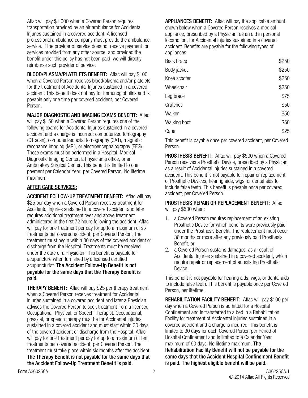Aflac will pay \$1,000 when a Covered Person requires transportation provided by an air ambulance for Accidental Injuries sustained in a covered accident. A licensed professional ambulance company must provide the ambulance service. If the provider of service does not receive payment for services provided from any other source, and provided the benefit under this policy has not been paid, we will directly reimburse such provider of service.

BLOOD/PLASMA/PLATELETS BENEFIT: Aflac will pay \$100 when a Covered Person receives blood/plasma and/or platelets for the treatment of Accidental Injuries sustained in a covered accident. This benefit does not pay for immunoglobulins and is payable only one time per covered accident, per Covered Person.

MAJOR DIAGNOSTIC AND IMAGING EXAMS BENEFIT: Aflac will pay \$150 when a Covered Person requires one of the following exams for Accidental Injuries sustained in a covered accident and a charge is incurred: computerized tomography (CT scan), computerized axial tomography (CAT), magnetic resonance imaging (MRI), or electroencephalography (EEG). These exams must be performed in a Hospital, Medical Diagnostic Imaging Center, a Physician's office, or an Ambulatory Surgical Center. This benefit is limited to one payment per Calendar Year, per Covered Person. No lifetime maximum.

#### AFTER CARE SERVICES:

ACCIDENT FOLLOW-UP TREATMENT BENEFIT: Aflac will pay \$25 per day when a Covered Person receives treatment for Accidental Injuries sustained in a covered accident and later requires additional treatment over and above treatment administered in the first 72 hours following the accident. Aflac will pay for one treatment per day for up to a maximum of six treatments per covered accident, per Covered Person. The treatment must begin within 30 days of the covered accident or discharge from the Hospital. Treatments must be received under the care of a Physician. This benefit is payable for acupuncture when furnished by a licensed certified acupuncturist. The Accident Follow-Up Benefit is not payable for the same days that the Therapy Benefit is paid.

THERAPY BENEFIT: Aflac will pay \$25 per therapy treatment when a Covered Person receives treatment for Accidental Injuries sustained in a covered accident and later a Physician advises the Covered Person to seek treatment from a licensed Occupational, Physical, or Speech Therapist. Occupational, physical, or speech therapy must be for Accidental Injuries sustained in a covered accident and must start within 30 days of the covered accident or discharge from the Hospital. Aflac will pay for one treatment per day for up to a maximum of ten treatments per covered accident, per Covered Person. The treatment must take place within six months after the accident. The Therapy Benefit is not payable for the same days that the Accident Follow-Up Treatment Benefit is paid.

**APPLIANCES BENEFIT:** Aflac will pay the applicable amount shown below when a Covered Person receives a medical appliance, prescribed by a Physician, as an aid in personal locomotion, for Accidental Injuries sustained in a covered accident. Benefits are payable for the following types of appliances:

| Back brace   | \$250 |
|--------------|-------|
| Body jacket  | \$250 |
| Knee scooter | \$250 |
| Wheelchair   | \$250 |
| Leg brace    | \$75  |
| Crutches     | \$50  |
| Walker       | \$50  |
| Walking boot | \$50  |
| Cane         | \$25  |

This benefit is payable once per covered accident, per Covered Person.

PROSTHESIS BENEFIT: Aflac will pay \$500 when a Covered Person receives a Prosthetic Device, prescribed by a Physician, as a result of Accidental Injuries sustained in a covered accident. This benefit is not payable for repair or replacement of Prosthetic Devices, hearing aids, wigs, or dental aids to include false teeth. This benefit is payable once per covered accident, per Covered Person.

PROSTHESIS REPAIR OR REPLACEMENT BENEFIT: Aflac will pay \$500 when:

- 1. a Covered Person requires replacement of an existing Prosthetic Device for which benefits were previously paid under the Prosthesis Benefit. The replacement must occur 36 months or more after any previously paid Prosthesis Benefit, or
- 2. a Covered Person sustains damages, as a result of Accidental Injuries sustained in a covered accident, which require repair or replacement of an existing Prosthetic Device.

This benefit is not payable for hearing aids, wigs, or dental aids to include false teeth. This benefit is payable once per Covered Person, per lifetime.

REHABILITATION FACILITY BENEFIT: Aflac will pay \$100 per day when a Covered Person is admitted for a Hospital Confinement and is transferred to a bed in a Rehabilitation Facility for treatment of Accidental Injuries sustained in a covered accident and a charge is incurred. This benefit is limited to 30 days for each Covered Person per Period of Hospital Confinement and is limited to a Calendar Year maximum of 60 days. No lifetime maximum. The Rehabilitation Facility Benefit will not be payable for the same days that the Accident Hospital Confinement Benefit is paid. The highest eligible benefit will be paid.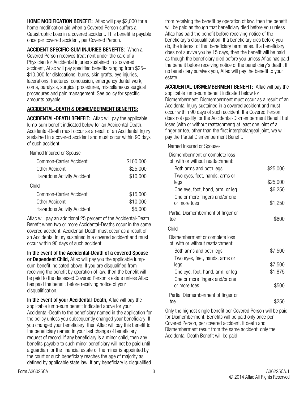**HOME MODIFICATION BENEFIT:** Aflac will pay \$2,000 for a home modification aid when a Covered Person suffers a Catastrophic Loss in a covered accident. This benefit is payable once per covered accident, per Covered Person.

ACCIDENT SPECIFIC-SUM INJURIES BENEFITS: When a Covered Person receives treatment under the care of a Physician for Accidental Injuries sustained in a covered accident, Aflac will pay specified benefits ranging from \$25– \$10,000 for dislocations, burns, skin grafts, eye injuries, lacerations, fractures, concussion, emergency dental work, coma, paralysis, surgical procedures, miscellaneous surgical procedures and pain management. See policy for specific amounts payable.

### ACCIDENTAL-DEATH & DISMEMBERMENT BENEFITS:

ACCIDENTAL-DEATH BENEFIT: Aflac will pay the applicable lump-sum benefit indicated below for an Accidental-Death. Accidental-Death must occur as a result of an Accidental Injury sustained in a covered accident and must occur within 90 days of such accident.

Named Insured or Spouse-

| Common-Carrier Accident            | \$100,000 |
|------------------------------------|-----------|
| Other Accident                     | \$25,000  |
| <b>Hazardous Activity Accident</b> | \$10,000  |
| Child-                             |           |
| Common-Carrier Accident            | \$15,000  |
| Other Accident                     | \$10,000  |
| <b>Hazardous Activity Accident</b> | \$5.000   |

Aflac will pay an additional 25 percent of the Accidental-Death Benefit when two or more Accidental-Deaths occur in the same covered accident. Accidental-Death must occur as a result of an Accidental Injury sustained in a covered accident and must occur within 90 days of such accident.

In the event of the Accidental-Death of a covered Spouse or Dependent Child, Aflac will pay you the applicable lumpsum benefit indicated above. If you are disqualified from receiving the benefit by operation of law, then the benefit will be paid to the deceased Covered Person's estate unless Aflac has paid the benefit before receiving notice of your disqualification.

In the event of your Accidental-Death, Aflac will pay the applicable lump-sum benefit indicated above for your Accidental-Death to the beneficiary named in the application for the policy unless you subsequently changed your beneficiary. If you changed your beneficiary, then Aflac will pay this benefit to the beneficiary named in your last change of beneficiary request of record. If any beneficiary is a minor child, then any benefits payable to such minor beneficiary will not be paid until a guardian for the financial estate of the minor is appointed by the court or such beneficiary reaches the age of majority as defined by applicable state law. If any beneficiary is disqualified

from receiving the benefit by operation of law, then the benefit will be paid as though that beneficiary died before you unless Aflac has paid the benefit before receiving notice of the beneficiary's disqualification. If a beneficiary dies before you do, the interest of that beneficiary terminates. If a beneficiary does not survive you by 15 days, then the benefit will be paid as though the beneficiary died before you unless Aflac has paid the benefit before receiving notice of the beneficiary's death. If no beneficiary survives you, Aflac will pay the benefit to your estate.

ACCIDENTAL-DISMEMBERMENT BENEFIT: Aflac will pay the applicable lump-sum benefit indicated below for Dismemberment. Dismemberment must occur as a result of an Accidental Injury sustained in a covered accident and must occur within 90 days of such accident. If a Covered Person does not qualify for the Accidental-Dismemberment Benefit but loses (with or without reattachment) at least one joint of a finger or toe, other than the first interphalangeal joint, we will pay the Partial Dismemberment Benefit.

Named Insured or Spouse-

| Dismemberment or complete loss<br>of, with or without reattachment: |          |
|---------------------------------------------------------------------|----------|
| Both arms and both legs                                             | \$25,000 |
| Two eyes, feet, hands, arms or<br>legs                              | \$25,000 |
| One eye, foot, hand, arm, or leg                                    | \$6,250  |
| One or more fingers and/or one<br>or more toes                      | \$1,250  |
| Partial Dismemberment of finger or<br>toe                           | \$600    |
| Child-                                                              |          |
| Dismemberment or complete loss<br>of, with or without reattachment: |          |
| Both arms and both legs<br>Two eyes, feet, hands, arms or           | \$7,500  |
| legs                                                                | \$7,500  |
| One eye, foot, hand, arm, or leg                                    | \$1,875  |
| One or more fingers and/or one<br>or more toes                      | \$500    |
| Partial Dismemberment of finger or<br>toe                           | \$250    |

Only the highest single benefit per Covered Person will be paid for Dismemberment. Benefits will be paid only once per Covered Person, per covered accident. If death and Dismemberment result from the same accident, only the Accidental-Death Benefit will be paid.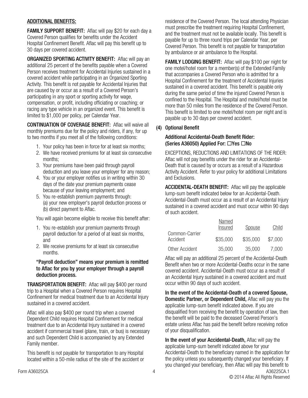#### ADDITIONAL BENEFITS:

**FAMILY SUPPORT BENEFIT:** Aflac will pay \$20 for each day a Covered Person qualifies for benefits under the Accident Hospital Confinement Benefit. Aflac will pay this benefit up to 30 days per covered accident.

ORGANIZED SPORTING ACTIVITY BENEFIT: Aflac will pay an additional 25 percent of the benefits payable when a Covered Person receives treatment for Accidental Injuries sustained in a covered accident while participating in an Organized Sporting Activity. This benefit is not payable for Accidental Injuries that are caused by or occur as a result of a Covered Person's participating in any sport or sporting activity for wage, compensation, or profit, including officiating or coaching; or racing any type vehicle in an organized event. This benefit is limited to \$1,000 per policy, per Calendar Year.

CONTINUATION OF COVERAGE BENEFIT: Aflac will waive all monthly premiums due for the policy and riders, if any, for up to two months if you meet all of the following conditions:

- 1. Your policy has been in force for at least six months;
- 2. We have received premiums for at least six consecutive months;
- 3. Your premiums have been paid through payroll deduction and you leave your employer for any reason;
- 4. You or your employer notifies us in writing within 30 days of the date your premium payments cease because of your leaving employment; and
- 5. You re-establish premium payments through: (a) your new employer's payroll deduction process or (b) direct payment to Aflac.

You will again become eligible to receive this benefit after:

- 1. You re-establish your premium payments through payroll deduction for a period of at least six months, and
- 2. We receive premiums for at least six consecutive months.

#### "Payroll deduction" means your premium is remitted to Aflac for you by your employer through a payroll deduction process.

TRANSPORTATION BENEFIT: Aflac will pay \$400 per round trip to a Hospital when a Covered Person requires Hospital Confinement for medical treatment due to an Accidental Injury sustained in a covered accident.

Aflac will also pay \$400 per round trip when a covered Dependent Child requires Hospital Confinement for medical treatment due to an Accidental Injury sustained in a covered accident if commercial travel (plane, train, or bus) is necessary and such Dependent Child is accompanied by any Extended Family member.

This benefit is not payable for transportation to any Hospital located within a 50-mile radius of the site of the accident or residence of the Covered Person. The local attending Physician must prescribe the treatment requiring Hospital Confinement, and the treatment must not be available locally. This benefit is payable for up to three round trips per Calendar Year, per Covered Person. This benefit is not payable for transportation by ambulance or air ambulance to the Hospital.

FAMILY LODGING BENEFIT: Aflac will pay \$100 per night for one motel/hotel room for a member(s) of the Extended Family that accompanies a Covered Person who is admitted for a Hospital Confinement for the treatment of Accidental Injuries sustained in a covered accident. This benefit is payable only during the same period of time the injured Covered Person is confined to the Hospital. The Hospital and motel/hotel must be more than 50 miles from the residence of the Covered Person. This benefit is limited to one motel/hotel room per night and is payable up to 30 days per covered accident.

### (4) Optional Benefit

#### Additional Accidental-Death Benefit Rider: (Series A36050) Applied For:  $\Box$ Yes  $\Box$ No

EXCEPTIONS, REDUCTIONS AND LIMITATIONS OF THE RIDER: Aflac will not pay benefits under the rider for an Accidental-Death that is caused by or occurs as a result of a Hazardous Activity Accident. Refer to your policy for additional Limitations and Exclusions.

ACCIDENTAL-DEATH BENEFIT: Aflac will pay the applicable lump-sum benefit indicated below for an Accidental-Death. Accidental-Death must occur as a result of an Accidental Injury sustained in a covered accident and must occur within 90 days of such accident.

|                            | Named<br>Insured | Spouse   | Child   |
|----------------------------|------------------|----------|---------|
| Common-Carrier<br>Accident | \$35,000         | \$35,000 | \$7,000 |
| Other Accident             | 35,000           | 35,000   | 7,000   |

Aflac will pay an additional 25 percent of the Accidental-Death Benefit when two or more Accidental-Deaths occur in the same covered accident. Accidental-Death must occur as a result of an Accidental Injury sustained in a covered accident and must occur within 90 days of such accident.

In the event of the Accidental-Death of a covered Spouse, Domestic Partner, or Dependent Child, Aflac will pay you the applicable lump-sum benefit indicated above. If you are disqualified from receiving the benefit by operation of law, then the benefit will be paid to the deceased Covered Person's estate unless Aflac has paid the benefit before receiving notice of your disqualification.

Form A36025CA A36225CA.1 In the event of your Accidental-Death, Aflac will pay the applicable lump-sum benefit indicated above for your Accidental-Death to the beneficiary named in the application for the policy unless you subsequently changed your beneficiary. If you changed your beneficiary, then Aflac will pay this benefit to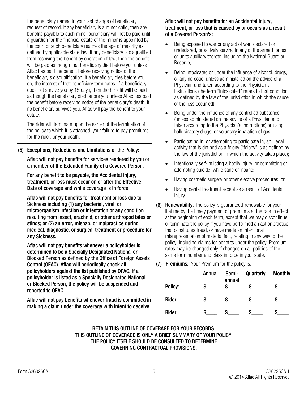the beneficiary named in your last change of beneficiary request of record. If any beneficiary is a minor child, then any benefits payable to such minor beneficiary will not be paid until a guardian for the financial estate of the minor is appointed by the court or such beneficiary reaches the age of majority as defined by applicable state law. If any beneficiary is disqualified from receiving the benefit by operation of law, then the benefit will be paid as though that beneficiary died before you unless Aflac has paid the benefit before receiving notice of the beneficiary's disqualification. If a beneficiary dies before you do, the interest of that beneficiary terminates. If a beneficiary does not survive you by 15 days, then the benefit will be paid as though the beneficiary died before you unless Aflac has paid the benefit before receiving notice of the beneficiary's death. If no beneficiary survives you, Aflac will pay the benefit to your estate.

The rider will terminate upon the earlier of the termination of the policy to which it is attached, your failure to pay premiums for the rider, or your death.

(5) Exceptions, Reductions and Limitations of the Policy:

Aflac will not pay benefits for services rendered by you or a member of the Extended Family of a Covered Person.

For any benefit to be payable, the Accidental Injury, treatment, or loss must occur on or after the Effective Date of coverage and while coverage is in force.

Aflac will not pay benefits for treatment or loss due to Sickness including (1) any bacterial, viral, or microorganism infection or infestation or any condition resulting from insect, arachnid, or other arthropod bites or stings; or (2) an error, mishap, or malpractice during medical, diagnostic, or surgical treatment or procedure for any Sickness.

Aflac will not pay benefits whenever a policyholder is determined to be a Specially Designated National or Blocked Person as defined by the Office of Foreign Assets Control (OFAC). Aflac will periodically check all policyholders against the list published by OFAC. If a policyholder is listed as a Specially Designated National or Blocked Person, the policy will be suspended and reported to OFAC.

Aflac will not pay benefits whenever fraud is committed in making a claim under the coverage with intent to deceive.

#### Aflac will not pay benefits for an Accidental Injury, treatment, or loss that is caused by or occurs as a result of a Covered Person's:

- Being exposed to war or any act of war, declared or undeclared, or actively serving in any of the armed forces or units auxiliary thereto, including the National Guard or Reserve;
- Being intoxicated or under the influence of alcohol, drugs, or any narcotic, unless administered on the advice of a Physician and taken according to the Physician's instructions (the term "intoxicated" refers to that condition as defined by the law of the jurisdiction in which the cause of the loss occurred);
- Being under the influence of any controlled substance (unless administered on the advice of a Physician and taken according to the Physician's instructions) or using hallucinatory drugs, or voluntary inhalation of gas;
- Participating in, or attempting to participate in, an illegal activity that is defined as a felony ("felony" is as defined by the law of the jurisdiction in which the activity takes place);
- Intentionally self-inflicting a bodily injury, or committing or attempting suicide, while sane or insane;
- Having cosmetic surgery or other elective procedures; or
- Having dental treatment except as a result of Accidental Injury.
- (6) Renewability. The policy is guaranteed-renewable for your lifetime by the timely payment of premiums at the rate in effect at the beginning of each term, except that we may discontinue or terminate the policy if you have performed an act or practice that constitutes fraud, or have made an intentional misrepresentation of material fact, relating in any way to the policy, including claims for benefits under the policy. Premium rates may be changed only if changed on all policies of the same form number and class in force in your state.
- (7) Premiums: Your Premium for the policy is:

|         | Annual | Semi-<br>annual | Quarterly | <b>Monthly</b> |
|---------|--------|-----------------|-----------|----------------|
| Policy: |        |                 |           |                |
| Rider:  | S.     |                 |           |                |
| Rider:  |        |                 |           |                |

RETAIN THIS OUTLINE OF COVERAGE FOR YOUR RECORDS. THIS OUTLINE OF COVERAGE IS ONLY A BRIEF SUMMARY OF YOUR POLICY. THE POLICY ITSELF SHOULD BE CONSULTED TO DETERMINE GOVERNING CONTRACTUAL PROVISIONS.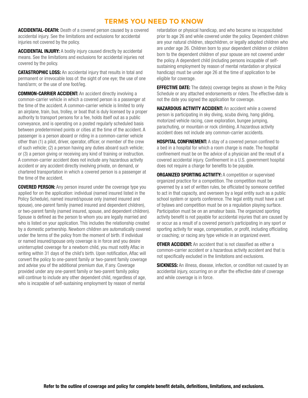# **TERMS YOU NEED TO KNOW**

ACCIDENTAL-DEATH: Death of a covered person caused by a covered accidental injury. See the limitations and exclusions for accidental injuries not covered by the policy.

**ACCIDENTAL INJURY:** A bodily injury caused directly by accidental means. See the limitations and exclusions for accidental injuries not covered by the policy.

CATASTROPHIC LOSS: An accidental injury that results in total and permanent or irrevocable loss of: the sight of one eye; the use of one hand/arm; or the use of one foot/leg.

COMMON-CARRIER ACCIDENT: An accident directly involving a common-carrier vehicle in which a covered person is a passenger at the time of the accident. A common-carrier vehicle is limited to only an airplane, train, bus, trolley, or boat that is duly licensed by a proper authority to transport persons for a fee, holds itself out as a public conveyance, and is operating on a posted regularly scheduled basis between predetermined points or cities at the time of the accident. A passenger is a person aboard or riding in a common-carrier vehicle other than (1) a pilot, driver, operator, officer, or member of the crew of such vehicle; (2) a person having any duties aboard such vehicle; or (3) a person giving or receiving any kind of training or instruction. A common-carrier accident does not include any hazardous activity accident or any accident directly involving private, on demand, or chartered transportation in which a covered person is a passenger at the time of the accident.

**COVERED PERSON:** Any person insured under the coverage type you applied for on the application: individual (named insured listed in the Policy Schedule), named insured/spouse only (named insured and spouse), one-parent family (named insured and dependent children), or two-parent family (named insured, spouse, and dependent children). Spouse is defined as the person to whom you are legally married and who is listed on your application. This includes the relationship created by a domestic partnership. Newborn children are automatically covered under the terms of the policy from the moment of birth. If individual or named insured/spouse only coverage is in force and you desire uninterrupted coverage for a newborn child, you must notify Aflac in writing within 31 days of the child's birth. Upon notification, Aflac will convert the policy to one-parent family or two-parent family coverage and advise you of the additional premium due, if any. Coverage provided under any one-parent family or two-parent family policy will continue to include any other dependent child, regardless of age, who is incapable of self-sustaining employment by reason of mental

retardation or physical handicap, and who became so incapacitated prior to age 26 and while covered under the policy. Dependent children are your natural children, stepchildren, or legally adopted children who are under age 26. Children born to your dependent children or children born to the dependent children of your spouse are not covered under the policy. A dependent child (including persons incapable of selfsustaining employment by reason of mental retardation or physical handicap) must be under age 26 at the time of application to be eligible for coverage.

**EFFECTIVE DATE:** The date(s) coverage begins as shown in the Policy Schedule or any attached endorsements or riders. The effective date is not the date you signed the application for coverage.

**HAZARDOUS ACTIVITY ACCIDENT:** An accident while a covered person is participating in sky diving, scuba diving, hang gliding, motorized vehicle racing, cave exploration, bungee jumping, parachuting, or mountain or rock climbing. A hazardous activity accident does not include any common-carrier accidents.

**HOSPITAL CONFINEMENT:** A stay of a covered person confined to a bed in a hospital for which a room charge is made. The hospital confinement must be on the advice of a physician and the result of a covered accidental injury. Confinement in a U.S. government hospital does not require a charge for benefits to be payable.

**ORGANIZED SPORTING ACTIVITY: A competition or supervised** organized practice for a competition. The competition must be governed by a set of written rules, be officiated by someone certified to act in that capacity, and overseen by a legal entity such as a public school system or sports conference. The legal entity must have a set of bylaws and competition must be on a regulation playing surface. Participation must be on an amateur basis. The organized sporting activity benefit is not payable for accidental injuries that are caused by or occur as a result of a covered person's participating in any sport or sporting activity for wage, compensation, or profit, including officiating or coaching; or racing any type vehicle in an organized event.

**OTHER ACCIDENT:** An accident that is not classified as either a common-carrier accident or a hazardous activity accident and that is not specifically excluded in the limitations and exclusions.

**SICKNESS:** An illness, disease, infection, or condition not caused by an accidental injury, occurring on or after the effective date of coverage and while coverage is in force.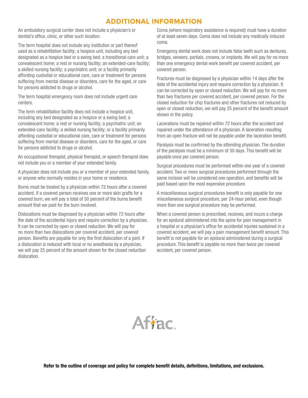# **ADDITIONAL INFORMATION**

An ambulatory surgical center does not include a physician's or dentist's office, clinic, or other such location.

The term hospital does not include any institution or part thereof used as a rehabilitation facility; a hospice unit, including any bed designated as a hospice bed or a swing bed; a transitional care unit; a convalescent home; a rest or nursing facility; an extended-care facility; a skilled nursing facility; a psychiatric unit; or a facility primarily affording custodial or educational care, care or treatment for persons suffering from mental disease or disorders, care for the aged, or care for persons addicted to drugs or alcohol.

The term hospital emergency room does not include urgent care centers.

The term rehabilitation facility does not include a hospice unit, including any bed designated as a hospice or a swing bed; a convalescent home; a rest or nursing facility; a psychiatric unit; an extended-care facility; a skilled nursing facility; or a facility primarily affording custodial or educational care, care or treatment for persons suffering from mental disease or disorders, care for the aged, or care for persons addicted to drugs or alcohol.

An occupational therapist, physical therapist, or speech therapist does not include you or a member of your extended family.

A physician does not include you or a member of your extended family, or anyone who normally resides in your home or residence.

Burns must be treated by a physician within 72 hours after a covered accident. If a covered person receives one or more skin grafts for a covered burn, we will pay a total of 50 percent of the burns benefit amount that we paid for the burn involved.

Dislocations must be diagnosed by a physician within 72 hours after the date of the accidental injury and require correction by a physician. It can be corrected by open or closed reduction. We will pay for no more than two dislocations per covered accident, per covered person. Benefits are payable for only the first dislocation of a joint. If a dislocation is reduced with local or no anesthesia by a physician, we will pay 25 percent of the amount shown for the closed reduction dislocation.

Coma (where respiratory assistance is required) must have a duration of at least seven days. Coma does not include any medically induced coma.

Emergency dental work does not include false teeth such as dentures, bridges, veneers, partials, crowns, or implants. We will pay for no more than one emergency dental work benefit per covered accident, per covered person.

Fractures must be diagnosed by a physician within 14 days after the date of the accidental injury and require correction by a physician. It can be corrected by open or closed reduction. We will pay for no more than two fractures per covered accident, per covered person. For the closed reduction for chip fractures and other fractures not reduced by open or closed reduction, we will pay 25 percent of the benefit amount shown in the policy.

Lacerations must be repaired within 72 hours after the accident and repaired under the attendance of a physician. A laceration resulting from an open fracture will not be payable under the laceration benefit.

Paralysis must be confirmed by the attending physician. The duration of the paralysis must be a minimum of 30 days. This benefit will be payable once per covered person.

Surgical procedures must be performed within one year of a covered accident. Two or more surgical procedures performed through the same incision will be considered one operation, and benefits will be paid based upon the most expensive procedure.

A miscellaneous surgical procedures benefit is only payable for one miscellaneous surgical procedure, per 24-hour period, even though more than one surgical procedure may be performed.

When a covered person is prescribed, receives, and incurs a charge for an epidural administered into the spine for pain management in a hospital or a physician's office for accidental injuries sustained in a covered accident, we will pay a pain management benefit amount. This benefit is not payable for an epidural administered during a surgical procedure. This benefit is payable no more than twice per covered accident, per covered person.